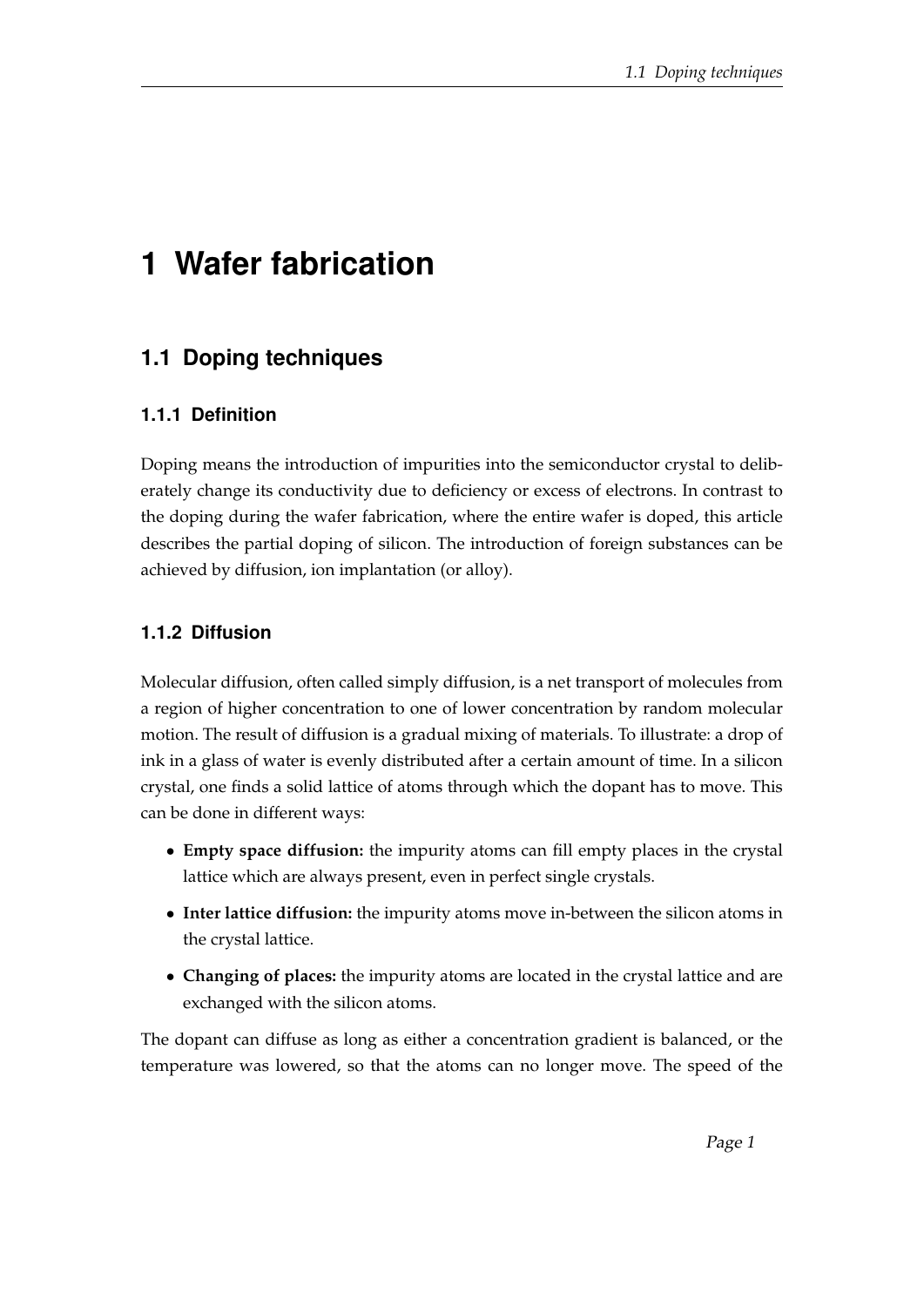# **1 Wafer fabrication**

## **1.1 Doping techniques**

## **1.1.1 Definition**

Doping means the introduction of impurities into the semiconductor crystal to deliberately change its conductivity due to deficiency or excess of electrons. In contrast to the doping during the wafer fabrication, where the entire wafer is doped, this article describes the partial doping of silicon. The introduction of foreign substances can be achieved by diffusion, ion implantation (or alloy).

## **1.1.2 Diffusion**

Molecular diffusion, often called simply diffusion, is a net transport of molecules from a region of higher concentration to one of lower concentration by random molecular motion. The result of diffusion is a gradual mixing of materials. To illustrate: a drop of ink in a glass of water is evenly distributed after a certain amount of time. In a silicon crystal, one finds a solid lattice of atoms through which the dopant has to move. This can be done in different ways:

- **Empty space diffusion:** the impurity atoms can fill empty places in the crystal lattice which are always present, even in perfect single crystals.
- **Inter lattice diffusion:** the impurity atoms move in-between the silicon atoms in the crystal lattice.
- **Changing of places:** the impurity atoms are located in the crystal lattice and are exchanged with the silicon atoms.

The dopant can diffuse as long as either a concentration gradient is balanced, or the temperature was lowered, so that the atoms can no longer move. The speed of the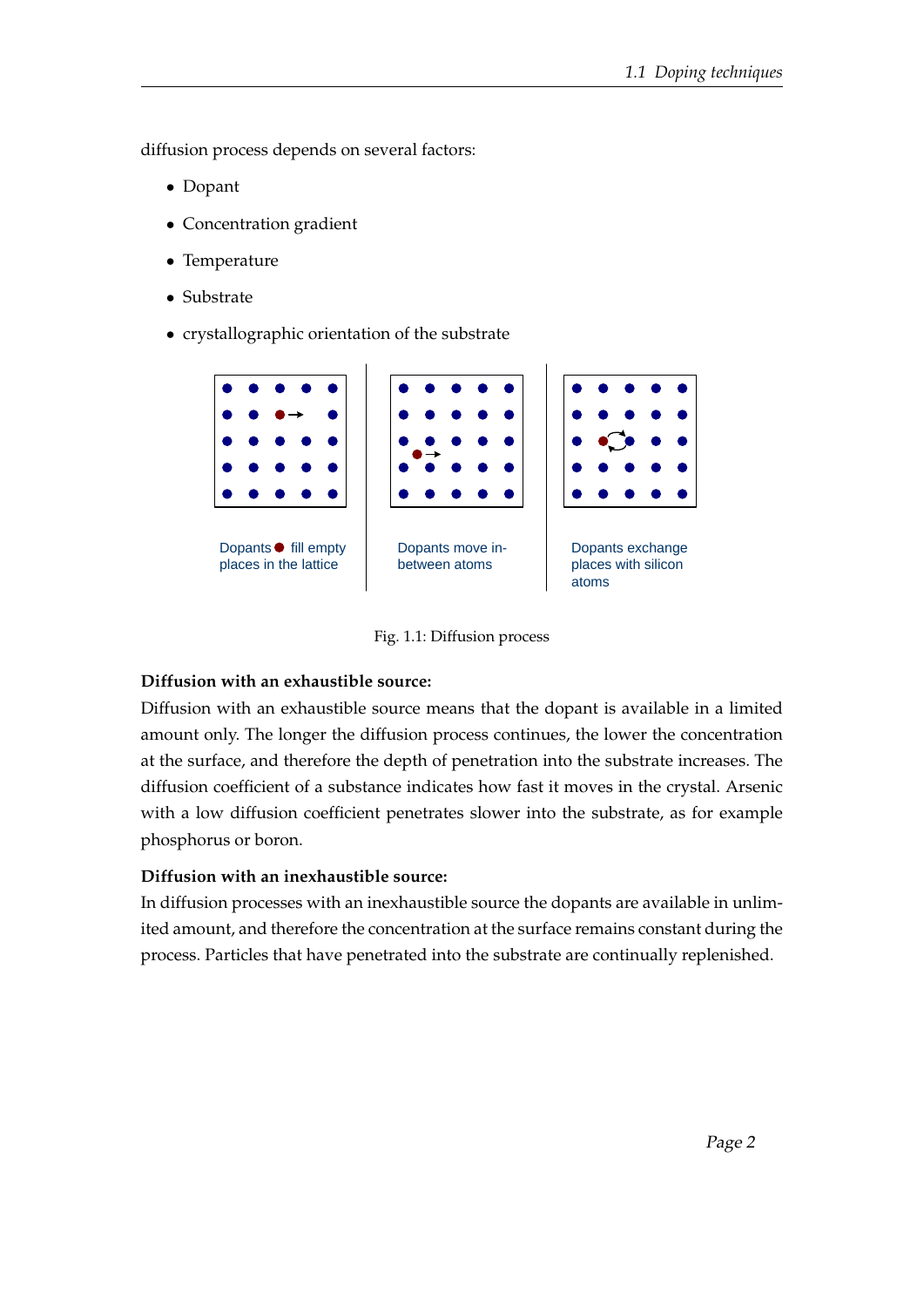diffusion process depends on several factors:

- Dopant
- Concentration gradient
- Temperature
- Substrate
- crystallographic orientation of the substrate



Fig. 1.1: Diffusion process

#### **Diffusion with an exhaustible source:**

Diffusion with an exhaustible source means that the dopant is available in a limited amount only. The longer the diffusion process continues, the lower the concentration at the surface, and therefore the depth of penetration into the substrate increases. The diffusion coefficient of a substance indicates how fast it moves in the crystal. Arsenic with a low diffusion coefficient penetrates slower into the substrate, as for example phosphorus or boron.

#### **Diffusion with an inexhaustible source:**

In diffusion processes with an inexhaustible source the dopants are available in unlimited amount, and therefore the concentration at the surface remains constant during the process. Particles that have penetrated into the substrate are continually replenished.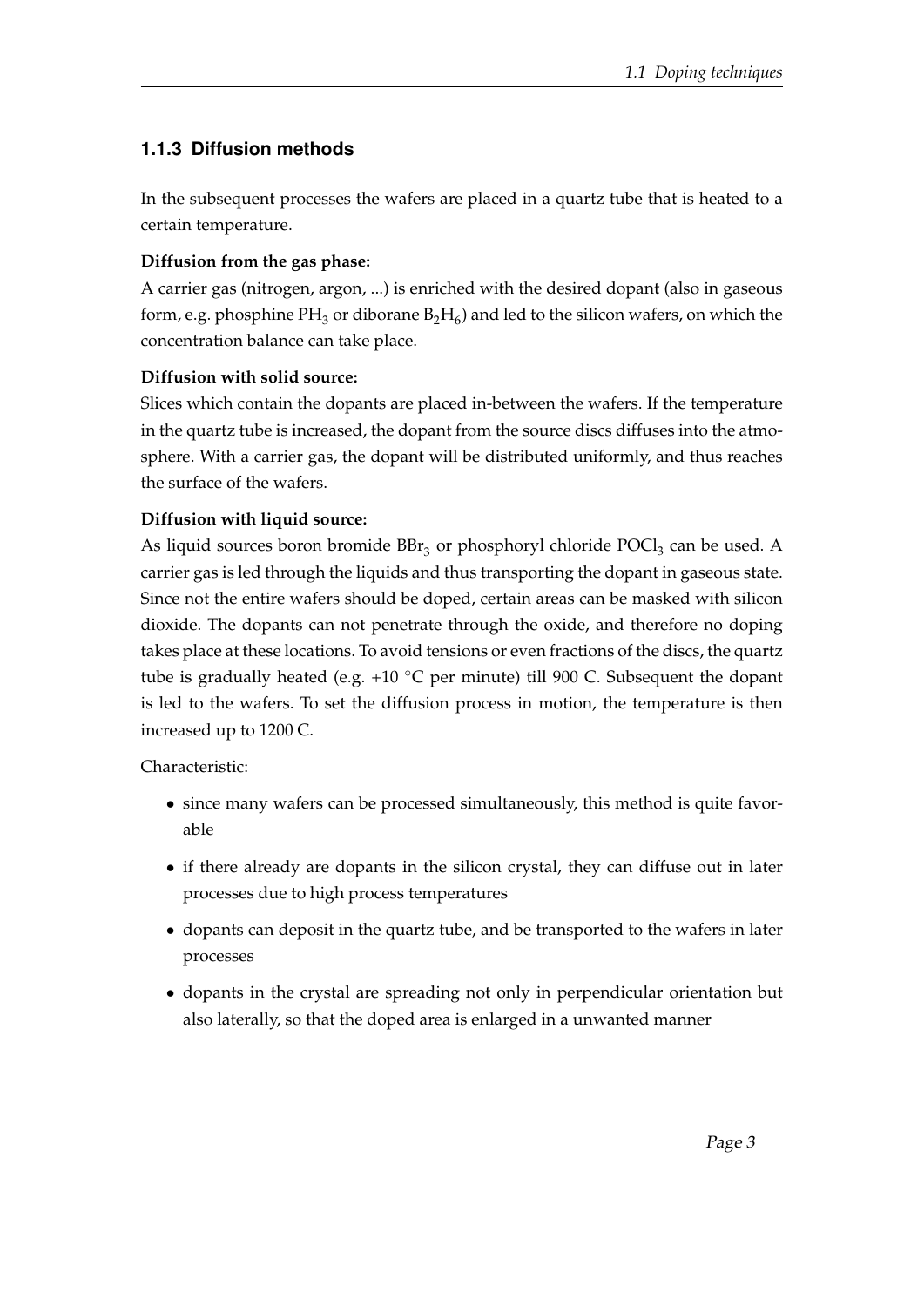## **1.1.3 Diffusion methods**

In the subsequent processes the wafers are placed in a quartz tube that is heated to a certain temperature.

#### **Diffusion from the gas phase:**

A carrier gas (nitrogen, argon, ...) is enriched with the desired dopant (also in gaseous form, e.g. phosphine PH $_3$  or diborane  $\rm B_2H_6$ ) and led to the silicon wafers, on which the concentration balance can take place.

#### **Diffusion with solid source:**

Slices which contain the dopants are placed in-between the wafers. If the temperature in the quartz tube is increased, the dopant from the source discs diffuses into the atmosphere. With a carrier gas, the dopant will be distributed uniformly, and thus reaches the surface of the wafers.

#### **Diffusion with liquid source:**

As liquid sources boron bromide  $\text{BBr}_3$  or phosphoryl chloride  $\text{POCl}_3$  can be used. A carrier gas is led through the liquids and thus transporting the dopant in gaseous state. Since not the entire wafers should be doped, certain areas can be masked with silicon dioxide. The dopants can not penetrate through the oxide, and therefore no doping takes place at these locations. To avoid tensions or even fractions of the discs, the quartz tube is gradually heated (e.g. +10  $°C$  per minute) till 900 C. Subsequent the dopant is led to the wafers. To set the diffusion process in motion, the temperature is then increased up to 1200 C.

Characteristic:

- since many wafers can be processed simultaneously, this method is quite favorable
- if there already are dopants in the silicon crystal, they can diffuse out in later processes due to high process temperatures
- dopants can deposit in the quartz tube, and be transported to the wafers in later processes
- dopants in the crystal are spreading not only in perpendicular orientation but also laterally, so that the doped area is enlarged in a unwanted manner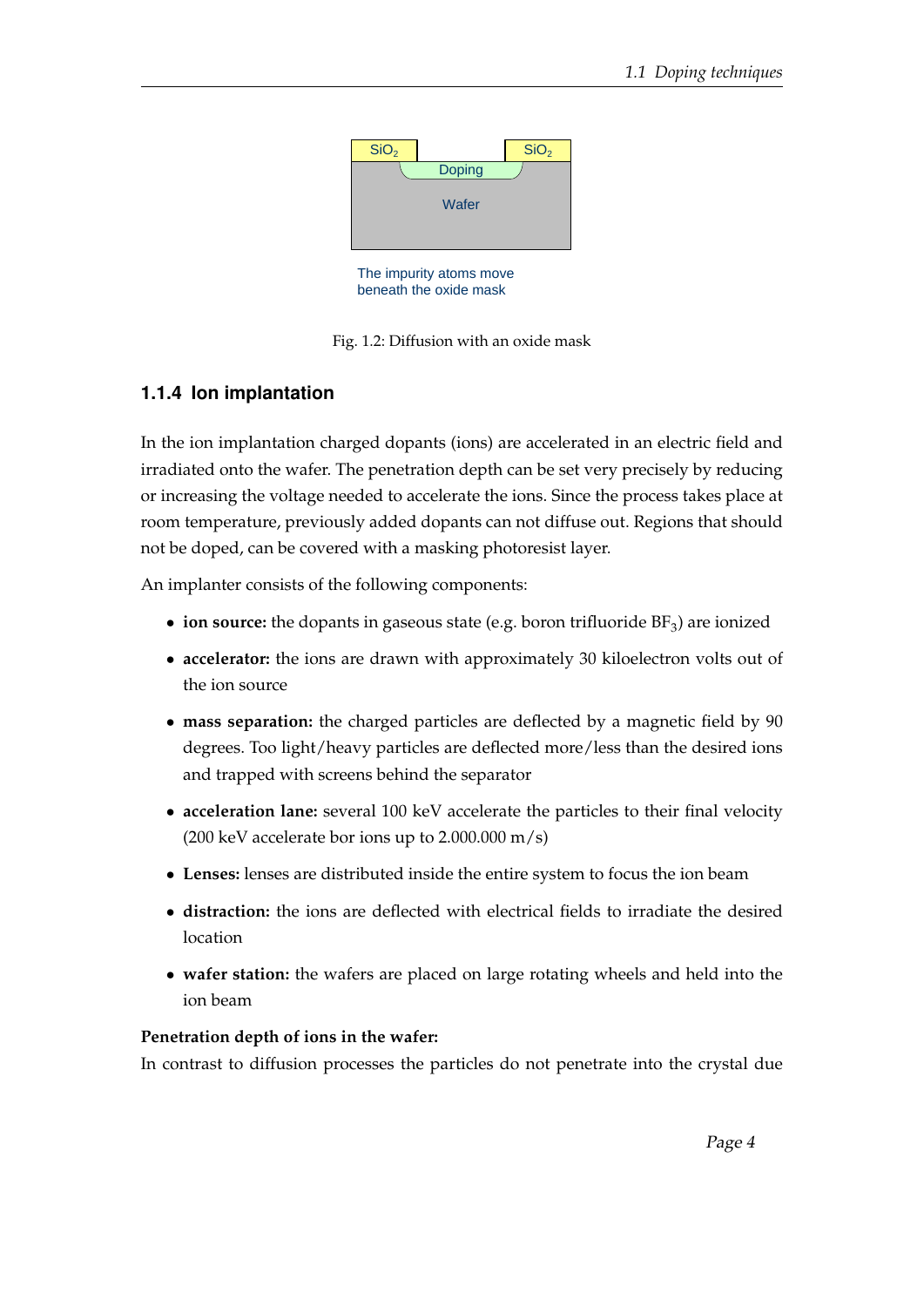

The impurity atoms move beneath the oxide mask



### **1.1.4 Ion implantation**

In the ion implantation charged dopants (ions) are accelerated in an electric field and irradiated onto the wafer. The penetration depth can be set very precisely by reducing or increasing the voltage needed to accelerate the ions. Since the process takes place at room temperature, previously added dopants can not diffuse out. Regions that should not be doped, can be covered with a masking photoresist layer.

An implanter consists of the following components:

- $\bullet$  **ion source:** the dopants in gaseous state (e.g. boron trifluoride  $BF_3$ ) are ionized
- **accelerator:** the ions are drawn with approximately 30 kiloelectron volts out of the ion source
- **mass separation:** the charged particles are deflected by a magnetic field by 90 degrees. Too light/heavy particles are deflected more/less than the desired ions and trapped with screens behind the separator
- **acceleration lane:** several 100 keV accelerate the particles to their final velocity (200 keV accelerate bor ions up to  $2.000.000$  m/s)
- **Lenses:** lenses are distributed inside the entire system to focus the ion beam
- **distraction:** the ions are deflected with electrical fields to irradiate the desired location
- **wafer station:** the wafers are placed on large rotating wheels and held into the ion beam

#### **Penetration depth of ions in the wafer:**

In contrast to diffusion processes the particles do not penetrate into the crystal due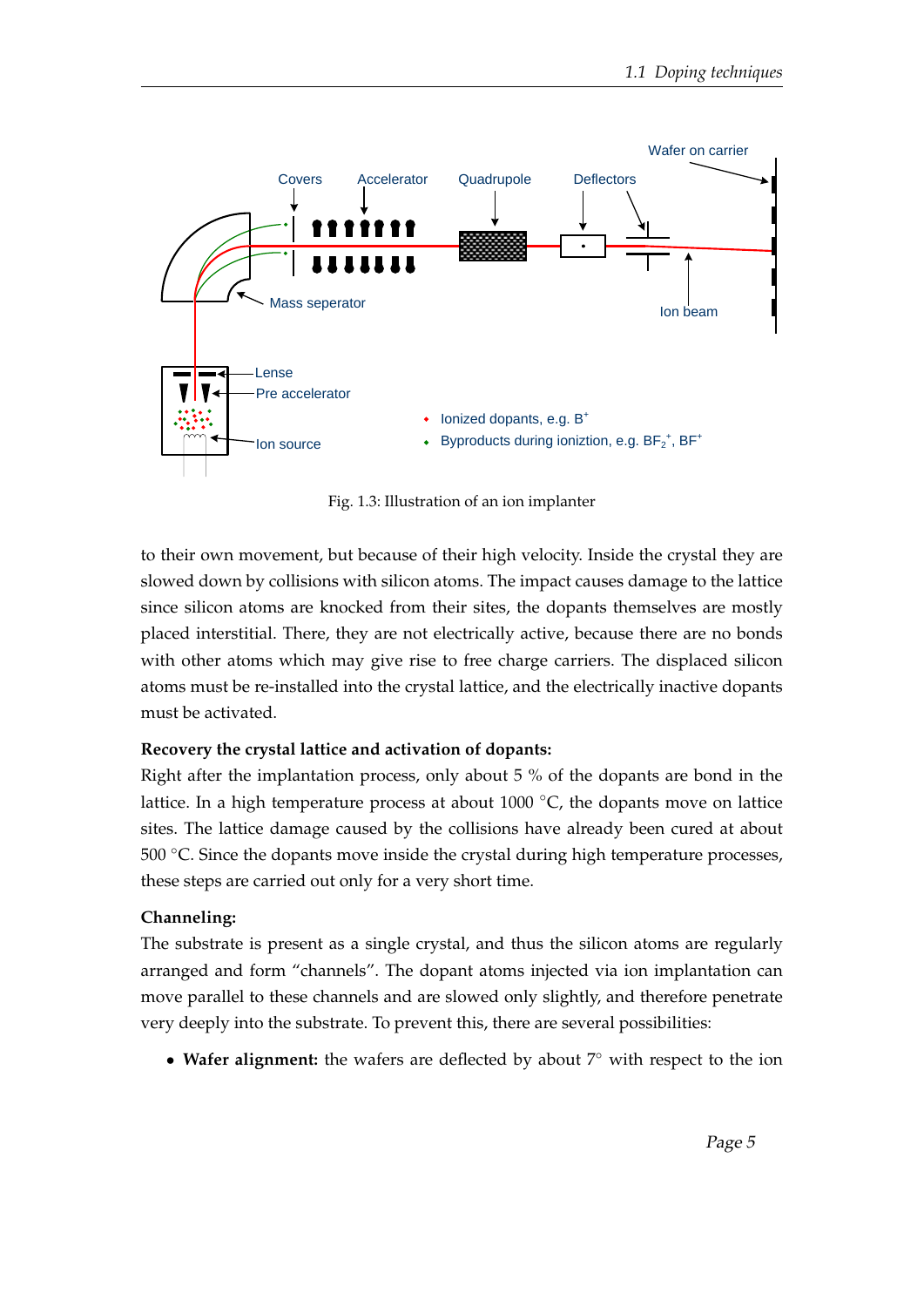

Fig. 1.3: Illustration of an ion implanter

to their own movement, but because of their high velocity. Inside the crystal they are slowed down by collisions with silicon atoms. The impact causes damage to the lattice since silicon atoms are knocked from their sites, the dopants themselves are mostly placed interstitial. There, they are not electrically active, because there are no bonds with other atoms which may give rise to free charge carriers. The displaced silicon atoms must be re-installed into the crystal lattice, and the electrically inactive dopants must be activated.

#### **Recovery the crystal lattice and activation of dopants:**

Right after the implantation process, only about 5 % of the dopants are bond in the lattice. In a high temperature process at about 1000 ◦C, the dopants move on lattice sites. The lattice damage caused by the collisions have already been cured at about 500 ◦C. Since the dopants move inside the crystal during high temperature processes, these steps are carried out only for a very short time.

#### **Channeling:**

The substrate is present as a single crystal, and thus the silicon atoms are regularly arranged and form "channels". The dopant atoms injected via ion implantation can move parallel to these channels and are slowed only slightly, and therefore penetrate very deeply into the substrate. To prevent this, there are several possibilities:

• **Wafer alignment:** the wafers are deflected by about 7◦ with respect to the ion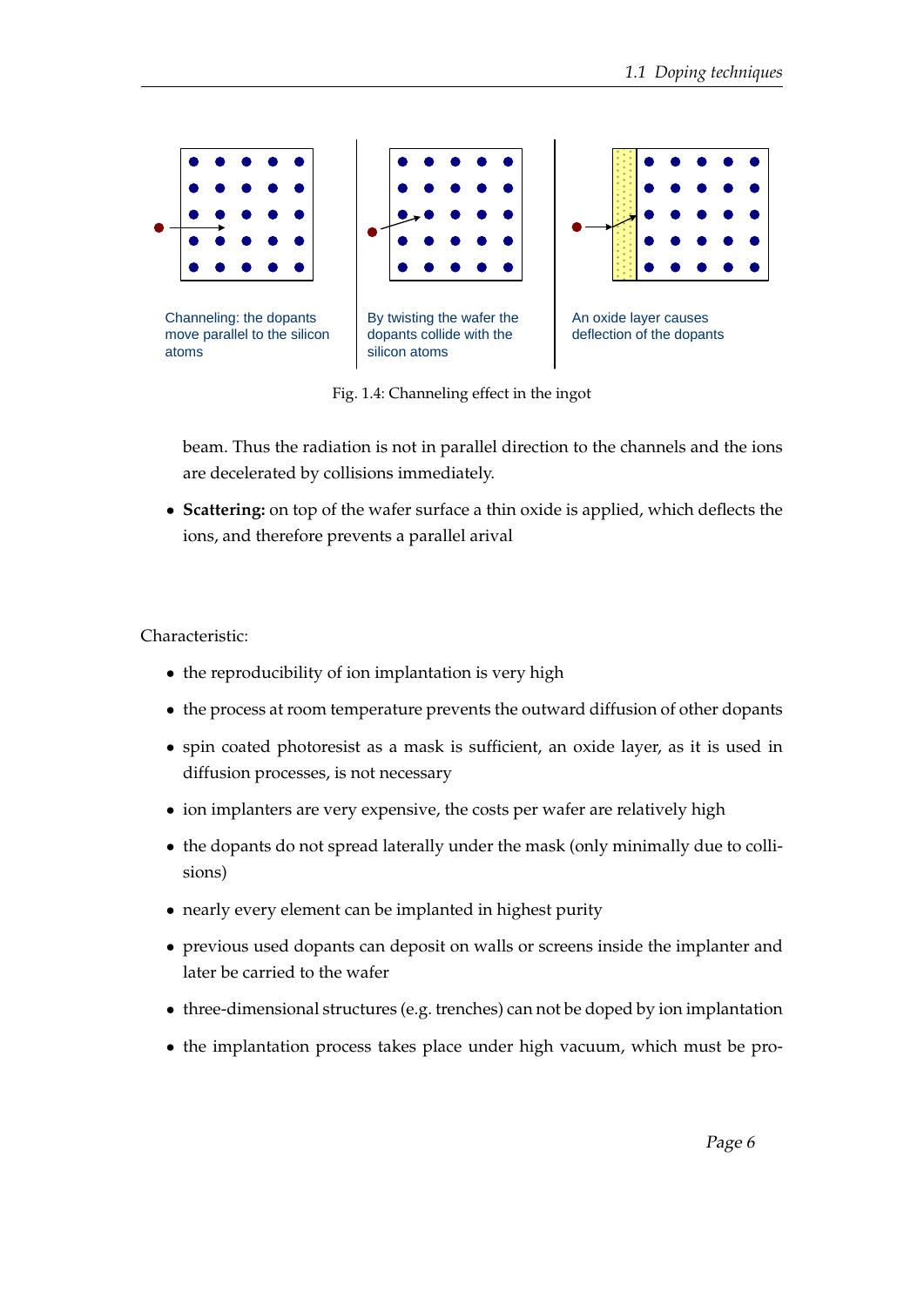

Fig. 1.4: Channeling effect in the ingot

beam. Thus the radiation is not in parallel direction to the channels and the ions are decelerated by collisions immediately.

• **Scattering:** on top of the wafer surface a thin oxide is applied, which deflects the ions, and therefore prevents a parallel arival

Characteristic:

- the reproducibility of ion implantation is very high
- the process at room temperature prevents the outward diffusion of other dopants
- spin coated photoresist as a mask is sufficient, an oxide layer, as it is used in diffusion processes, is not necessary
- ion implanters are very expensive, the costs per wafer are relatively high
- the dopants do not spread laterally under the mask (only minimally due to collisions)
- nearly every element can be implanted in highest purity
- previous used dopants can deposit on walls or screens inside the implanter and later be carried to the wafer
- three-dimensional structures (e.g. trenches) can not be doped by ion implantation
- the implantation process takes place under high vacuum, which must be pro-